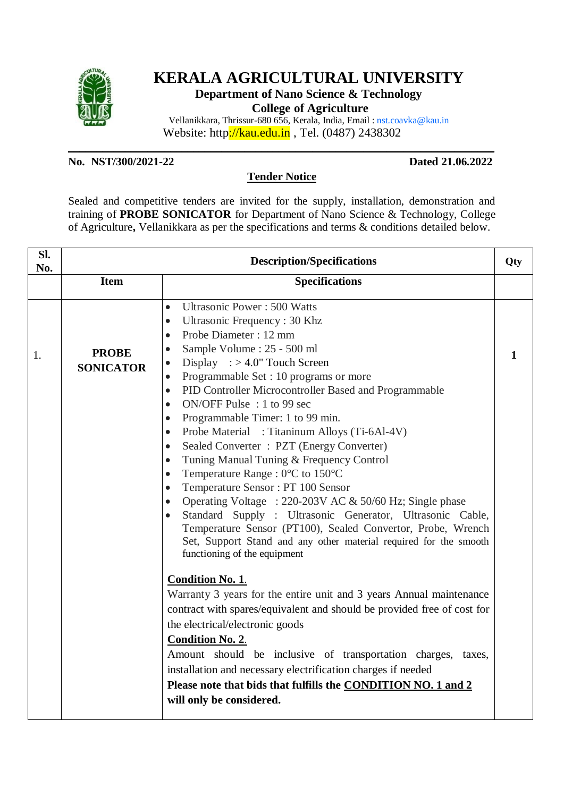

# **KERALA AGRICULTURAL UNIVERSITY**

**Department of Nano Science & Technology**

**College of Agriculture**

Vellanikkara, Thrissur-680 656, Kerala, India, Email : nst.coavka@kau.in Website: http://kau.edu.in , Tel. (0487) 2438302

## **No. NST/300/2021-22 Dated 21.06.2022**

#### **Tender Notice**

**\_\_\_\_\_\_\_\_\_\_\_\_\_\_\_\_\_\_\_\_\_\_\_\_\_\_\_\_\_\_\_\_\_\_\_\_\_\_\_\_\_\_\_\_\_\_\_\_\_\_\_\_\_\_\_\_\_\_\_\_\_\_\_\_\_\_\_\_\_\_\_\_\_\_\_**

Sealed and competitive tenders are invited for the supply, installation, demonstration and training of **PROBE SONICATOR** for Department of Nano Science & Technology, College of Agriculture**,** Vellanikkara as per the specifications and terms & conditions detailed below.

| Sl.<br>No. | <b>Description/Specifications</b> |                                                                                                                                                                                                                                                                                                                                                                                                                                                                                                                                                                                                                                                                                                                                                                                                                                                                                                                                                                                                                                                                                                                                                                                                                                                                                                                                                                                                                                                                                                                                                     | Qty          |
|------------|-----------------------------------|-----------------------------------------------------------------------------------------------------------------------------------------------------------------------------------------------------------------------------------------------------------------------------------------------------------------------------------------------------------------------------------------------------------------------------------------------------------------------------------------------------------------------------------------------------------------------------------------------------------------------------------------------------------------------------------------------------------------------------------------------------------------------------------------------------------------------------------------------------------------------------------------------------------------------------------------------------------------------------------------------------------------------------------------------------------------------------------------------------------------------------------------------------------------------------------------------------------------------------------------------------------------------------------------------------------------------------------------------------------------------------------------------------------------------------------------------------------------------------------------------------------------------------------------------------|--------------|
|            | <b>Item</b>                       | <b>Specifications</b>                                                                                                                                                                                                                                                                                                                                                                                                                                                                                                                                                                                                                                                                                                                                                                                                                                                                                                                                                                                                                                                                                                                                                                                                                                                                                                                                                                                                                                                                                                                               |              |
| 1.         | <b>PROBE</b><br><b>SONICATOR</b>  | <b>Ultrasonic Power: 500 Watts</b><br>$\bullet$<br>Ultrasonic Frequency: 30 Khz<br>$\bullet$<br>Probe Diameter: 12 mm<br>$\bullet$<br>Sample Volume : 25 - 500 ml<br>$\bullet$<br>Display $\therefore$ > 4.0" Touch Screen<br>$\bullet$<br>Programmable Set: 10 programs or more<br>$\bullet$<br>PID Controller Microcontroller Based and Programmable<br>$\bullet$<br>ON/OFF Pulse : 1 to 99 sec<br>$\bullet$<br>Programmable Timer: 1 to 99 min.<br>$\bullet$<br>Probe Material : Titaninum Alloys (Ti-6Al-4V)<br>$\bullet$<br>Sealed Converter: PZT (Energy Converter)<br>$\bullet$<br>Tuning Manual Tuning & Frequency Control<br>$\bullet$<br>Temperature Range : 0°C to 150°C<br>$\bullet$<br>Temperature Sensor: PT 100 Sensor<br>$\bullet$<br>Operating Voltage : 220-203V AC & 50/60 Hz; Single phase<br>$\bullet$<br>Standard Supply: Ultrasonic Generator, Ultrasonic Cable,<br>$\bullet$<br>Temperature Sensor (PT100), Sealed Convertor, Probe, Wrench<br>Set, Support Stand and any other material required for the smooth<br>functioning of the equipment<br><b>Condition No. 1.</b><br>Warranty 3 years for the entire unit and 3 years Annual maintenance<br>contract with spares/equivalent and should be provided free of cost for<br>the electrical/electronic goods<br><b>Condition No. 2.</b><br>Amount should be inclusive of transportation charges,<br>taxes,<br>installation and necessary electrification charges if needed<br>Please note that bids that fulfills the CONDITION NO. 1 and 2<br>will only be considered. | $\mathbf{1}$ |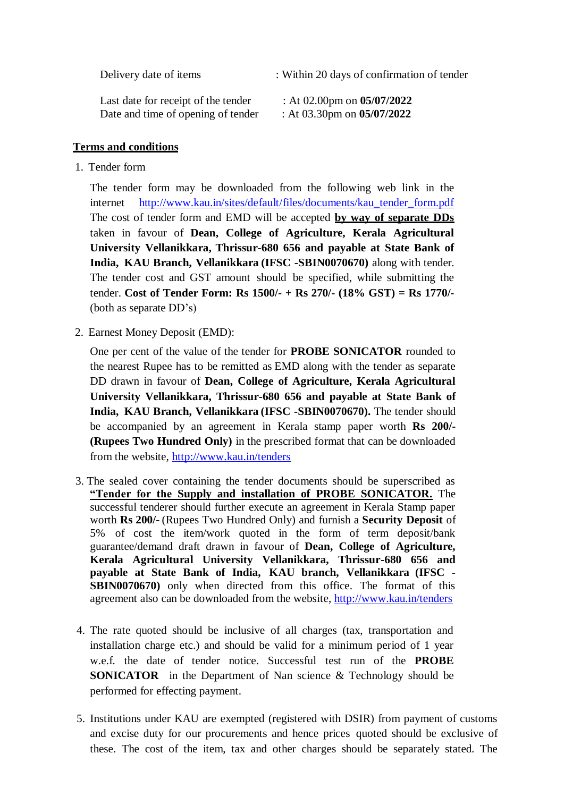| Delivery date of items              | : Within 20 days of confirmation of tender |
|-------------------------------------|--------------------------------------------|
| Last date for receipt of the tender | : At 02.00pm on $05/07/2022$               |
| Date and time of opening of tender  | : At 03.30pm on $05/07/2022$               |

### **Terms and conditions**

1. Tender form

The tender form may be downloaded from the following web link in the internet http://www.kau.in/sites/default/files/documents/kau tender form.pdf The cost of tender form and EMD will be accepted **by way of separate DDs** taken in favour of **Dean, College of Agriculture, Kerala Agricultural University Vellanikkara, Thrissur-680 656 and payable at State Bank of India, KAU Branch, Vellanikkara (IFSC -SBIN0070670)** along with tender. The tender cost and GST amount should be specified, while submitting the tender. **Cost of Tender Form: Rs 1500/- + Rs 270/- (18% GST) = Rs 1770/-**  (both as separate DD's)

2. Earnest Money Deposit (EMD):

One per cent of the value of the tender for **PROBE SONICATOR** rounded to the nearest Rupee has to be remitted as EMD along with the tender as separate DD drawn in favour of **Dean, College of Agriculture, Kerala Agricultural University Vellanikkara, Thrissur-680 656 and payable at State Bank of India, KAU Branch, Vellanikkara (IFSC -SBIN0070670).** The tender should be accompanied by an agreement in Kerala stamp paper worth **Rs 200/- (Rupees Two Hundred Only)** in the prescribed format that can be downloaded from the website, <http://www.kau.in/tenders>

- 3. The sealed cover containing the tender documents should be superscribed as **"Tender for the Supply and installation of PROBE SONICATOR.** The successful tenderer should further execute an agreement in Kerala Stamp paper worth **Rs 200/-** (Rupees Two Hundred Only) and furnish a **Security Deposit** of 5% of cost the item/work quoted in the form of term deposit/bank guarantee/demand draft drawn in favour of **Dean, College of Agriculture, Kerala Agricultural University Vellanikkara, Thrissur-680 656 and payable at State Bank of India, KAU branch, Vellanikkara (IFSC - SBIN0070670**) only when directed from this office. The format of this agreement also can be downloaded from the website, <http://www.kau.in/tenders>
- 4. The rate quoted should be inclusive of all charges (tax, transportation and installation charge etc.) and should be valid for a minimum period of 1 year w.e.f. the date of tender notice. Successful test run of the **PROBE SONICATOR** in the Department of Nan science & Technology should be performed for effecting payment.
- 5. Institutions under KAU are exempted (registered with DSIR) from payment of customs and excise duty for our procurements and hence prices quoted should be exclusive of these. The cost of the item, tax and other charges should be separately stated. The